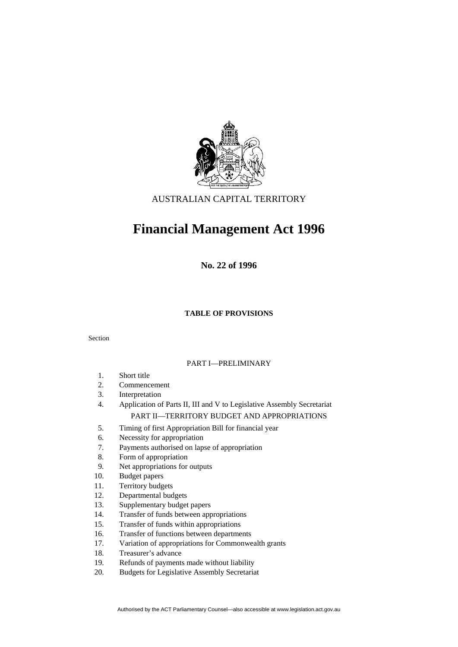

# AUSTRALIAN CAPITAL TERRITORY

# **Financial Management Act 1996**

**No. 22 of 1996** 

# **TABLE OF PROVISIONS**

#### Section

#### PART I—PRELIMINARY

- 1. Short title
- 2. Commencement
- 3. Interpretation
- 4. Application of Parts II, III and V to Legislative Assembly Secretariat PART II—TERRITORY BUDGET AND APPROPRIATIONS

- 5. Timing of first Appropriation Bill for financial year
- 6. Necessity for appropriation
- 7. Payments authorised on lapse of appropriation
- 8. Form of appropriation
- 9. Net appropriations for outputs
- 10. Budget papers
- 11. Territory budgets
- 12. Departmental budgets
- 13. Supplementary budget papers
- 14. Transfer of funds between appropriations
- 15. Transfer of funds within appropriations
- 16. Transfer of functions between departments
- 17. Variation of appropriations for Commonwealth grants
- 18. Treasurer's advance
- 19. Refunds of payments made without liability
- 20. Budgets for Legislative Assembly Secretariat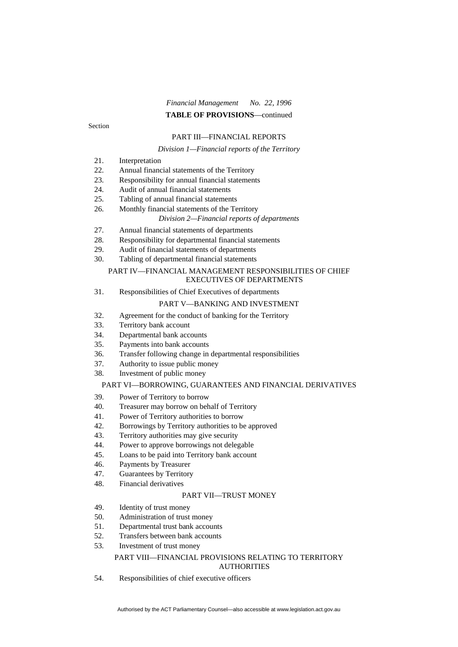# *Financial Management No. 22, 1996* **TABLE OF PROVISIONS**—continued

Section

#### PART III—FINANCIAL REPORTS

#### *Division 1—Financial reports of the Territory*

- 21. Interpretation
- 22. Annual financial statements of the Territory
- 23. Responsibility for annual financial statements
- 24. Audit of annual financial statements
- 25. Tabling of annual financial statements
- 26. Monthly financial statements of the Territory

#### *Division 2—Financial reports of departments*

- 27. Annual financial statements of departments
- 28. Responsibility for departmental financial statements
- 29. Audit of financial statements of departments
- 30. Tabling of departmental financial statements

#### PART IV—FINANCIAL MANAGEMENT RESPONSIBILITIES OF CHIEF EXECUTIVES OF DEPARTMENTS

31. Responsibilities of Chief Executives of departments

#### PART V—BANKING AND INVESTMENT

- 32. Agreement for the conduct of banking for the Territory
- 33. Territory bank account
- 34. Departmental bank accounts
- 35. Payments into bank accounts
- 36. Transfer following change in departmental responsibilities
- 37. Authority to issue public money
- 38. Investment of public money

#### PART VI—BORROWING, GUARANTEES AND FINANCIAL DERIVATIVES

- 39. Power of Territory to borrow
- 40. Treasurer may borrow on behalf of Territory
- 41. Power of Territory authorities to borrow
- 42. Borrowings by Territory authorities to be approved
- 43. Territory authorities may give security
- 44. Power to approve borrowings not delegable
- 45. Loans to be paid into Territory bank account
- 46. Payments by Treasurer
- 47. Guarantees by Territory
- 48. Financial derivatives

# PART VII—TRUST MONEY

- 49. Identity of trust money
- 50. Administration of trust money
- 51. Departmental trust bank accounts
- 52. Transfers between bank accounts
- 53. Investment of trust money

#### PART VIII—FINANCIAL PROVISIONS RELATING TO TERRITORY AUTHORITIES

54. Responsibilities of chief executive officers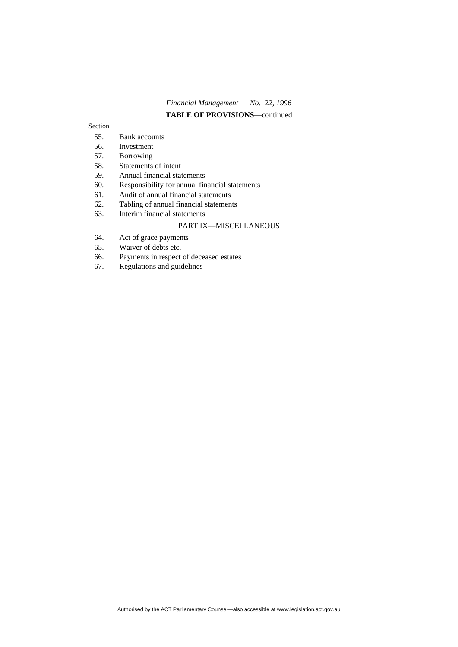# *Financial Management No. 22, 1996* **TABLE OF PROVISIONS**—continued

#### Section

- 55. Bank accounts
- 56. Investment
- 57. Borrowing
- 58. Statements of intent
- 59. Annual financial statements
- 60. Responsibility for annual financial statements
- 61. Audit of annual financial statements
- 62. Tabling of annual financial statements

# 63. Interim financial statements

# PART IX—MISCELLANEOUS

- 64. Act of grace payments
- 65. Waiver of debts etc.
- 66. Payments in respect of deceased estates
- 67. Regulations and guidelines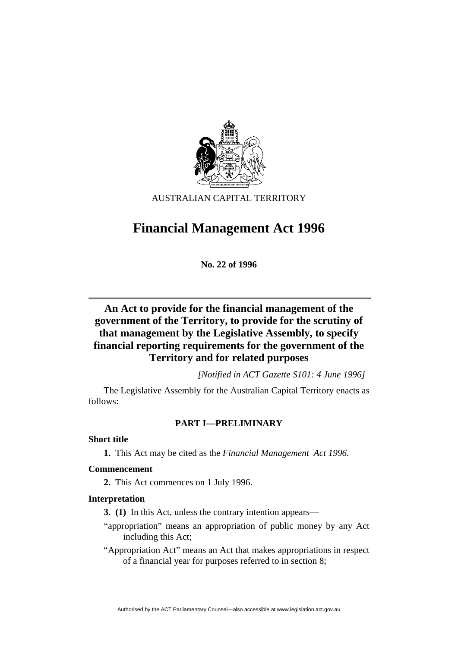

AUSTRALIAN CAPITAL TERRITORY

# **Financial Management Act 1996**

**No. 22 of 1996** 

# **An Act to provide for the financial management of the government of the Territory, to provide for the scrutiny of that management by the Legislative Assembly, to specify financial reporting requirements for the government of the Territory and for related purposes**

*[Notified in ACT Gazette S101: 4 June 1996]*

 The Legislative Assembly for the Australian Capital Territory enacts as follows:

# **PART I—PRELIMINARY**

**Short title** 

**1.** This Act may be cited as the *Financial Management Act 1996.*

# **Commencement**

**2.** This Act commences on 1 July 1996.

# **Interpretation**

**3. (1)** In this Act, unless the contrary intention appears—

- "appropriation" means an appropriation of public money by any Act including this Act;
- "Appropriation Act" means an Act that makes appropriations in respect of a financial year for purposes referred to in section 8;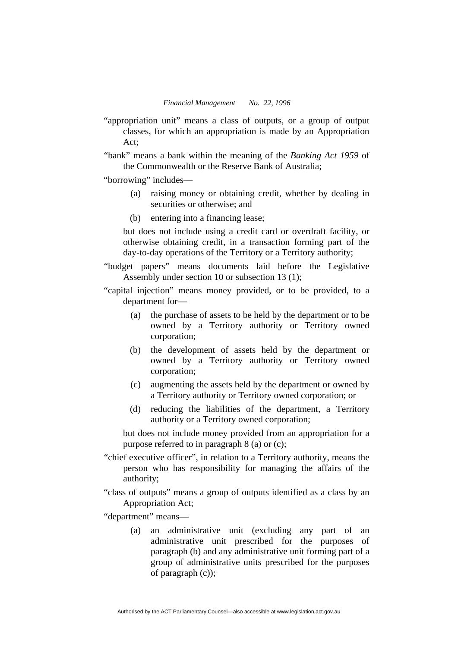- "appropriation unit" means a class of outputs, or a group of output classes, for which an appropriation is made by an Appropriation Act;
- "bank" means a bank within the meaning of the *Banking Act 1959* of the Commonwealth or the Reserve Bank of Australia;

"borrowing" includes—

- (a) raising money or obtaining credit, whether by dealing in securities or otherwise; and
- (b) entering into a financing lease;

but does not include using a credit card or overdraft facility, or otherwise obtaining credit, in a transaction forming part of the day-to-day operations of the Territory or a Territory authority;

"budget papers" means documents laid before the Legislative Assembly under section 10 or subsection 13 (1);

"capital injection" means money provided, or to be provided, to a department for—

- (a) the purchase of assets to be held by the department or to be owned by a Territory authority or Territory owned corporation;
- (b) the development of assets held by the department or owned by a Territory authority or Territory owned corporation;
- (c) augmenting the assets held by the department or owned by a Territory authority or Territory owned corporation; or
- (d) reducing the liabilities of the department, a Territory authority or a Territory owned corporation;

but does not include money provided from an appropriation for a purpose referred to in paragraph 8 (a) or (c);

- "chief executive officer", in relation to a Territory authority, means the person who has responsibility for managing the affairs of the authority;
- "class of outputs" means a group of outputs identified as a class by an Appropriation Act;

"department" means—

 (a) an administrative unit (excluding any part of an administrative unit prescribed for the purposes of paragraph (b) and any administrative unit forming part of a group of administrative units prescribed for the purposes of paragraph (c));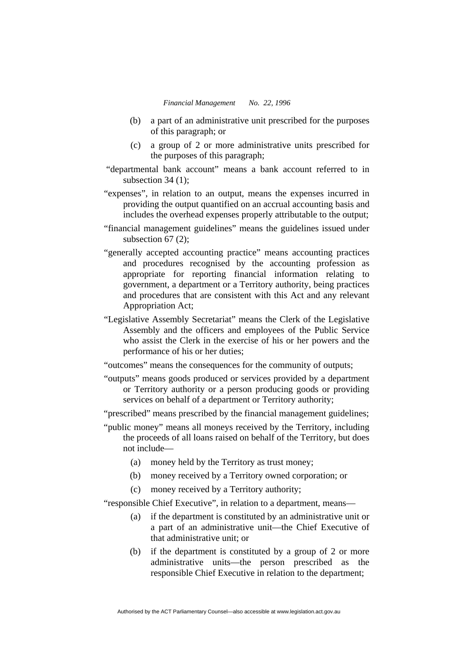- (b) a part of an administrative unit prescribed for the purposes of this paragraph; or
- (c) a group of 2 or more administrative units prescribed for the purposes of this paragraph;
- "departmental bank account" means a bank account referred to in subsection 34 (1):
- "expenses", in relation to an output, means the expenses incurred in providing the output quantified on an accrual accounting basis and includes the overhead expenses properly attributable to the output;
- "financial management guidelines" means the guidelines issued under subsection 67 (2);
- "generally accepted accounting practice" means accounting practices and procedures recognised by the accounting profession as appropriate for reporting financial information relating to government, a department or a Territory authority, being practices and procedures that are consistent with this Act and any relevant Appropriation Act;
- "Legislative Assembly Secretariat" means the Clerk of the Legislative Assembly and the officers and employees of the Public Service who assist the Clerk in the exercise of his or her powers and the performance of his or her duties;
- "outcomes" means the consequences for the community of outputs;
- "outputs" means goods produced or services provided by a department or Territory authority or a person producing goods or providing services on behalf of a department or Territory authority;
- "prescribed" means prescribed by the financial management guidelines;
- "public money" means all moneys received by the Territory, including the proceeds of all loans raised on behalf of the Territory, but does not include—
	- (a) money held by the Territory as trust money;
	- (b) money received by a Territory owned corporation; or
	- (c) money received by a Territory authority;

"responsible Chief Executive", in relation to a department, means—

- (a) if the department is constituted by an administrative unit or a part of an administrative unit—the Chief Executive of that administrative unit; or
- (b) if the department is constituted by a group of 2 or more administrative units—the person prescribed as the responsible Chief Executive in relation to the department;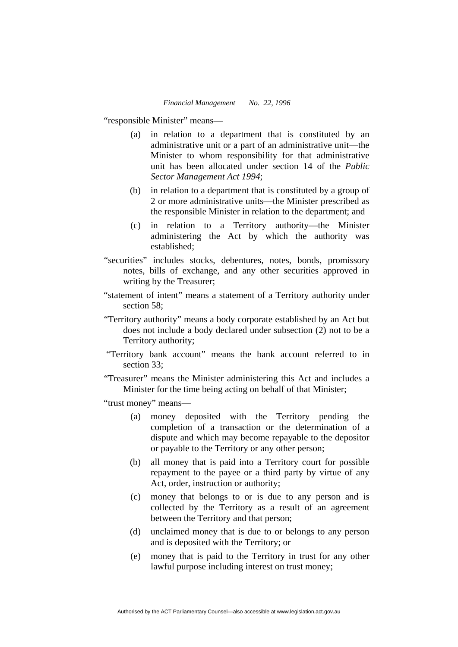"responsible Minister" means—

- (a) in relation to a department that is constituted by an administrative unit or a part of an administrative unit—the Minister to whom responsibility for that administrative unit has been allocated under section 14 of the *Public Sector Management Act 1994*;
- (b) in relation to a department that is constituted by a group of 2 or more administrative units—the Minister prescribed as the responsible Minister in relation to the department; and
- (c) in relation to a Territory authority—the Minister administering the Act by which the authority was established;
- "securities" includes stocks, debentures, notes, bonds, promissory notes, bills of exchange, and any other securities approved in writing by the Treasurer;
- "statement of intent" means a statement of a Territory authority under section 58:
- "Territory authority" means a body corporate established by an Act but does not include a body declared under subsection (2) not to be a Territory authority;
- "Territory bank account" means the bank account referred to in section 33;
- "Treasurer" means the Minister administering this Act and includes a Minister for the time being acting on behalf of that Minister;
- "trust money" means—
	- (a) money deposited with the Territory pending the completion of a transaction or the determination of a dispute and which may become repayable to the depositor or payable to the Territory or any other person;
	- (b) all money that is paid into a Territory court for possible repayment to the payee or a third party by virtue of any Act, order, instruction or authority;
	- (c) money that belongs to or is due to any person and is collected by the Territory as a result of an agreement between the Territory and that person;
	- (d) unclaimed money that is due to or belongs to any person and is deposited with the Territory; or
	- (e) money that is paid to the Territory in trust for any other lawful purpose including interest on trust money;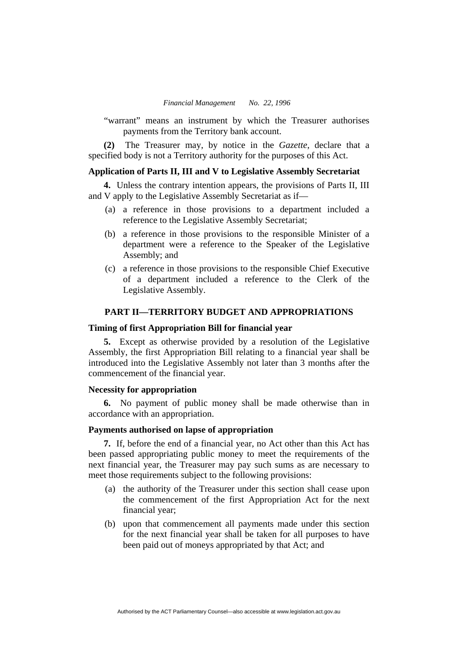"warrant" means an instrument by which the Treasurer authorises payments from the Territory bank account.

**(2)** The Treasurer may, by notice in the *Gazette*, declare that a specified body is not a Territory authority for the purposes of this Act.

## **Application of Parts II, III and V to Legislative Assembly Secretariat**

**4.** Unless the contrary intention appears, the provisions of Parts II, III and V apply to the Legislative Assembly Secretariat as if—

- (a) a reference in those provisions to a department included a reference to the Legislative Assembly Secretariat;
- (b) a reference in those provisions to the responsible Minister of a department were a reference to the Speaker of the Legislative Assembly; and
- (c) a reference in those provisions to the responsible Chief Executive of a department included a reference to the Clerk of the Legislative Assembly.

# **PART II—TERRITORY BUDGET AND APPROPRIATIONS**

#### **Timing of first Appropriation Bill for financial year**

**5.** Except as otherwise provided by a resolution of the Legislative Assembly, the first Appropriation Bill relating to a financial year shall be introduced into the Legislative Assembly not later than 3 months after the commencement of the financial year.

# **Necessity for appropriation**

**6.** No payment of public money shall be made otherwise than in accordance with an appropriation.

#### **Payments authorised on lapse of appropriation**

**7.** If, before the end of a financial year, no Act other than this Act has been passed appropriating public money to meet the requirements of the next financial year, the Treasurer may pay such sums as are necessary to meet those requirements subject to the following provisions:

- (a) the authority of the Treasurer under this section shall cease upon the commencement of the first Appropriation Act for the next financial year;
- (b) upon that commencement all payments made under this section for the next financial year shall be taken for all purposes to have been paid out of moneys appropriated by that Act; and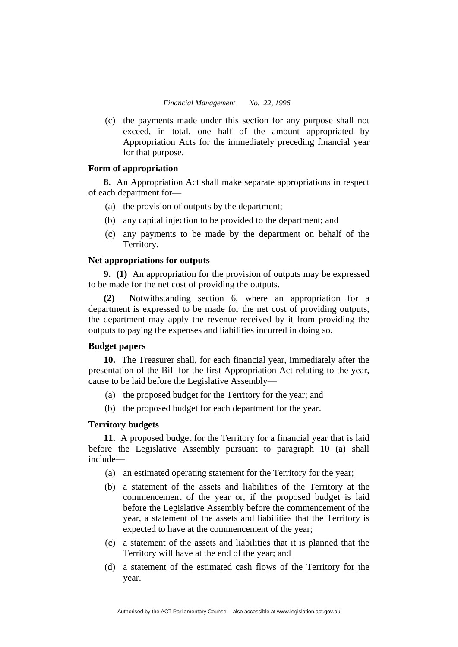(c) the payments made under this section for any purpose shall not exceed, in total, one half of the amount appropriated by Appropriation Acts for the immediately preceding financial year for that purpose.

# **Form of appropriation**

**8.** An Appropriation Act shall make separate appropriations in respect of each department for—

- (a) the provision of outputs by the department;
- (b) any capital injection to be provided to the department; and
- (c) any payments to be made by the department on behalf of the Territory.

# **Net appropriations for outputs**

**9. (1)** An appropriation for the provision of outputs may be expressed to be made for the net cost of providing the outputs.

**(2)** Notwithstanding section 6, where an appropriation for a department is expressed to be made for the net cost of providing outputs, the department may apply the revenue received by it from providing the outputs to paying the expenses and liabilities incurred in doing so.

# **Budget papers**

**10.** The Treasurer shall, for each financial year, immediately after the presentation of the Bill for the first Appropriation Act relating to the year, cause to be laid before the Legislative Assembly—

- (a) the proposed budget for the Territory for the year; and
- (b) the proposed budget for each department for the year.

# **Territory budgets**

**11.** A proposed budget for the Territory for a financial year that is laid before the Legislative Assembly pursuant to paragraph 10 (a) shall include—

- (a) an estimated operating statement for the Territory for the year;
- (b) a statement of the assets and liabilities of the Territory at the commencement of the year or, if the proposed budget is laid before the Legislative Assembly before the commencement of the year, a statement of the assets and liabilities that the Territory is expected to have at the commencement of the year;
- (c) a statement of the assets and liabilities that it is planned that the Territory will have at the end of the year; and
- (d) a statement of the estimated cash flows of the Territory for the year.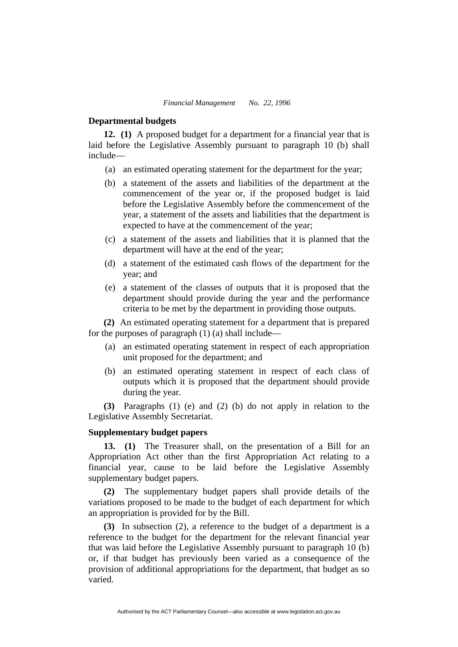#### **Departmental budgets**

**12. (1)** A proposed budget for a department for a financial year that is laid before the Legislative Assembly pursuant to paragraph 10 (b) shall include—

- (a) an estimated operating statement for the department for the year;
- (b) a statement of the assets and liabilities of the department at the commencement of the year or, if the proposed budget is laid before the Legislative Assembly before the commencement of the year, a statement of the assets and liabilities that the department is expected to have at the commencement of the year;
- (c) a statement of the assets and liabilities that it is planned that the department will have at the end of the year;
- (d) a statement of the estimated cash flows of the department for the year; and
- (e) a statement of the classes of outputs that it is proposed that the department should provide during the year and the performance criteria to be met by the department in providing those outputs.

**(2)** An estimated operating statement for a department that is prepared for the purposes of paragraph  $(1)$   $(a)$  shall include—

- (a) an estimated operating statement in respect of each appropriation unit proposed for the department; and
- (b) an estimated operating statement in respect of each class of outputs which it is proposed that the department should provide during the year.

**(3)** Paragraphs (1) (e) and (2) (b) do not apply in relation to the Legislative Assembly Secretariat.

# **Supplementary budget papers**

**13. (1)** The Treasurer shall, on the presentation of a Bill for an Appropriation Act other than the first Appropriation Act relating to a financial year, cause to be laid before the Legislative Assembly supplementary budget papers.

**(2)** The supplementary budget papers shall provide details of the variations proposed to be made to the budget of each department for which an appropriation is provided for by the Bill.

**(3)** In subsection (2), a reference to the budget of a department is a reference to the budget for the department for the relevant financial year that was laid before the Legislative Assembly pursuant to paragraph 10 (b) or, if that budget has previously been varied as a consequence of the provision of additional appropriations for the department, that budget as so varied.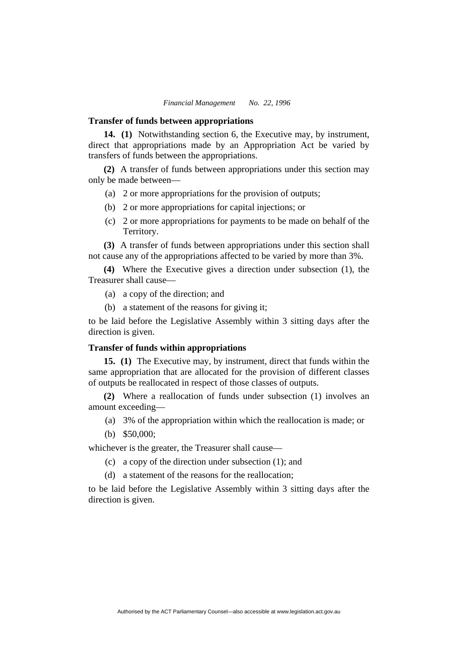#### **Transfer of funds between appropriations**

**14. (1)** Notwithstanding section 6, the Executive may, by instrument, direct that appropriations made by an Appropriation Act be varied by transfers of funds between the appropriations.

**(2)** A transfer of funds between appropriations under this section may only be made between—

- (a) 2 or more appropriations for the provision of outputs;
- (b) 2 or more appropriations for capital injections; or
- (c) 2 or more appropriations for payments to be made on behalf of the Territory.

**(3)** A transfer of funds between appropriations under this section shall not cause any of the appropriations affected to be varied by more than 3%.

**(4)** Where the Executive gives a direction under subsection (1), the Treasurer shall cause—

- (a) a copy of the direction; and
- (b) a statement of the reasons for giving it;

to be laid before the Legislative Assembly within 3 sitting days after the direction is given.

# **Transfer of funds within appropriations**

**15. (1)** The Executive may, by instrument, direct that funds within the same appropriation that are allocated for the provision of different classes of outputs be reallocated in respect of those classes of outputs.

**(2)** Where a reallocation of funds under subsection (1) involves an amount exceeding—

- (a) 3% of the appropriation within which the reallocation is made; or
- (b) \$50,000;

whichever is the greater, the Treasurer shall cause—

- (c) a copy of the direction under subsection (1); and
- (d) a statement of the reasons for the reallocation;

to be laid before the Legislative Assembly within 3 sitting days after the direction is given.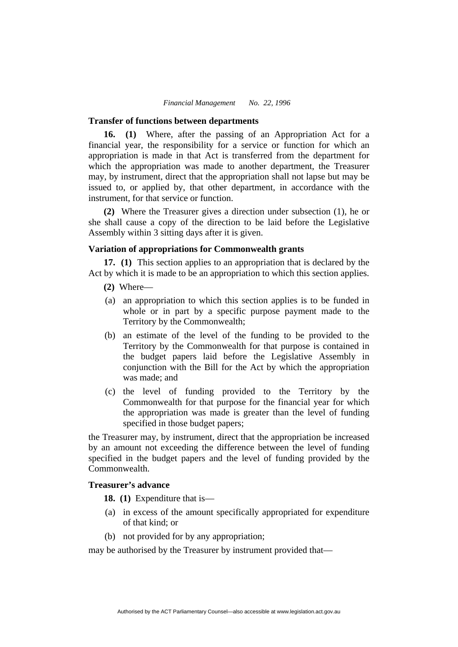#### **Transfer of functions between departments**

**16. (1)** Where, after the passing of an Appropriation Act for a financial year, the responsibility for a service or function for which an appropriation is made in that Act is transferred from the department for which the appropriation was made to another department, the Treasurer may, by instrument, direct that the appropriation shall not lapse but may be issued to, or applied by, that other department, in accordance with the instrument, for that service or function.

**(2)** Where the Treasurer gives a direction under subsection (1), he or she shall cause a copy of the direction to be laid before the Legislative Assembly within 3 sitting days after it is given.

# **Variation of appropriations for Commonwealth grants**

**17. (1)** This section applies to an appropriation that is declared by the Act by which it is made to be an appropriation to which this section applies.

- **(2)** Where—
- (a) an appropriation to which this section applies is to be funded in whole or in part by a specific purpose payment made to the Territory by the Commonwealth;
- (b) an estimate of the level of the funding to be provided to the Territory by the Commonwealth for that purpose is contained in the budget papers laid before the Legislative Assembly in conjunction with the Bill for the Act by which the appropriation was made; and
- (c) the level of funding provided to the Territory by the Commonwealth for that purpose for the financial year for which the appropriation was made is greater than the level of funding specified in those budget papers;

the Treasurer may, by instrument, direct that the appropriation be increased by an amount not exceeding the difference between the level of funding specified in the budget papers and the level of funding provided by the Commonwealth.

# **Treasurer's advance**

**18. (1)** Expenditure that is—

- (a) in excess of the amount specifically appropriated for expenditure of that kind; or
- (b) not provided for by any appropriation;

may be authorised by the Treasurer by instrument provided that—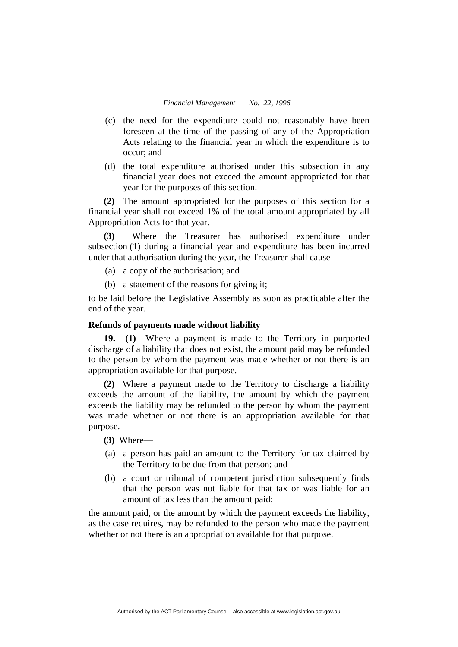- (c) the need for the expenditure could not reasonably have been foreseen at the time of the passing of any of the Appropriation Acts relating to the financial year in which the expenditure is to occur; and
- (d) the total expenditure authorised under this subsection in any financial year does not exceed the amount appropriated for that year for the purposes of this section.

**(2)** The amount appropriated for the purposes of this section for a financial year shall not exceed 1% of the total amount appropriated by all Appropriation Acts for that year.

**(3)** Where the Treasurer has authorised expenditure under subsection (1) during a financial year and expenditure has been incurred under that authorisation during the year, the Treasurer shall cause—

- (a) a copy of the authorisation; and
- (b) a statement of the reasons for giving it;

to be laid before the Legislative Assembly as soon as practicable after the end of the year.

# **Refunds of payments made without liability**

**19. (1)** Where a payment is made to the Territory in purported discharge of a liability that does not exist, the amount paid may be refunded to the person by whom the payment was made whether or not there is an appropriation available for that purpose.

**(2)** Where a payment made to the Territory to discharge a liability exceeds the amount of the liability, the amount by which the payment exceeds the liability may be refunded to the person by whom the payment was made whether or not there is an appropriation available for that purpose.

**(3)** Where—

- (a) a person has paid an amount to the Territory for tax claimed by the Territory to be due from that person; and
- (b) a court or tribunal of competent jurisdiction subsequently finds that the person was not liable for that tax or was liable for an amount of tax less than the amount paid;

the amount paid, or the amount by which the payment exceeds the liability, as the case requires, may be refunded to the person who made the payment whether or not there is an appropriation available for that purpose.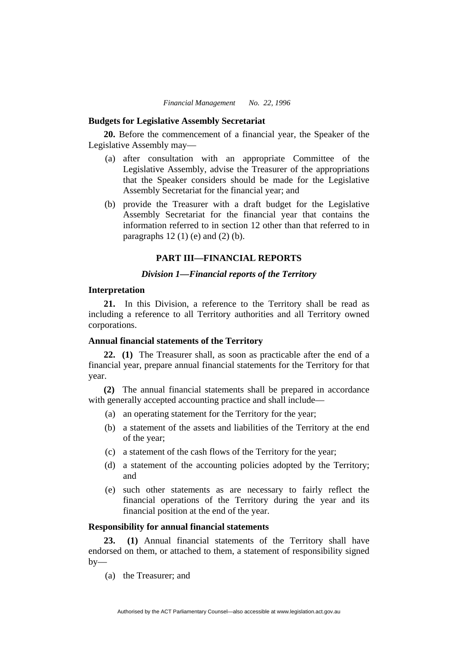#### **Budgets for Legislative Assembly Secretariat**

**20.** Before the commencement of a financial year, the Speaker of the Legislative Assembly may—

- (a) after consultation with an appropriate Committee of the Legislative Assembly, advise the Treasurer of the appropriations that the Speaker considers should be made for the Legislative Assembly Secretariat for the financial year; and
- (b) provide the Treasurer with a draft budget for the Legislative Assembly Secretariat for the financial year that contains the information referred to in section 12 other than that referred to in paragraphs  $12(1)$  (e) and  $(2)$  (b).

# **PART III—FINANCIAL REPORTS**

# *Division 1—Financial reports of the Territory*

# **Interpretation**

**21.** In this Division, a reference to the Territory shall be read as including a reference to all Territory authorities and all Territory owned corporations.

# **Annual financial statements of the Territory**

**22. (1)** The Treasurer shall, as soon as practicable after the end of a financial year, prepare annual financial statements for the Territory for that year.

**(2)** The annual financial statements shall be prepared in accordance with generally accepted accounting practice and shall include—

- (a) an operating statement for the Territory for the year;
- (b) a statement of the assets and liabilities of the Territory at the end of the year;
- (c) a statement of the cash flows of the Territory for the year;
- (d) a statement of the accounting policies adopted by the Territory; and
- (e) such other statements as are necessary to fairly reflect the financial operations of the Territory during the year and its financial position at the end of the year.

# **Responsibility for annual financial statements**

**23. (1)** Annual financial statements of the Territory shall have endorsed on them, or attached to them, a statement of responsibility signed  $bv$ —

(a) the Treasurer; and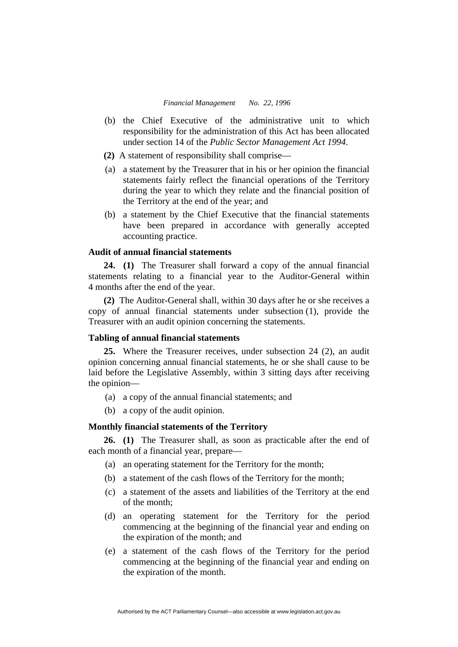- (b) the Chief Executive of the administrative unit to which responsibility for the administration of this Act has been allocated under section 14 of the *Public Sector Management Act 1994*.
- **(2)** A statement of responsibility shall comprise—
- (a) a statement by the Treasurer that in his or her opinion the financial statements fairly reflect the financial operations of the Territory during the year to which they relate and the financial position of the Territory at the end of the year; and
- (b) a statement by the Chief Executive that the financial statements have been prepared in accordance with generally accepted accounting practice.

# **Audit of annual financial statements**

**24. (1)** The Treasurer shall forward a copy of the annual financial statements relating to a financial year to the Auditor-General within 4 months after the end of the year.

**(2)** The Auditor-General shall, within 30 days after he or she receives a copy of annual financial statements under subsection (1), provide the Treasurer with an audit opinion concerning the statements.

# **Tabling of annual financial statements**

**25.** Where the Treasurer receives, under subsection 24 (2), an audit opinion concerning annual financial statements, he or she shall cause to be laid before the Legislative Assembly, within 3 sitting days after receiving the opinion—

- (a) a copy of the annual financial statements; and
- (b) a copy of the audit opinion.

# **Monthly financial statements of the Territory**

**26. (1)** The Treasurer shall, as soon as practicable after the end of each month of a financial year, prepare—

- (a) an operating statement for the Territory for the month;
- (b) a statement of the cash flows of the Territory for the month;
- (c) a statement of the assets and liabilities of the Territory at the end of the month;
- (d) an operating statement for the Territory for the period commencing at the beginning of the financial year and ending on the expiration of the month; and
- (e) a statement of the cash flows of the Territory for the period commencing at the beginning of the financial year and ending on the expiration of the month.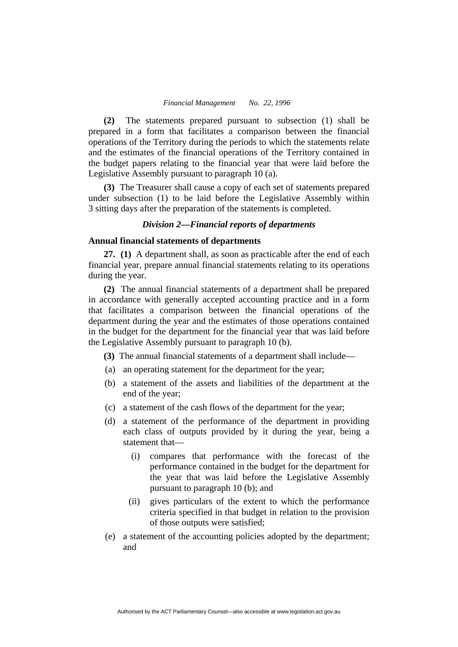**(2)** The statements prepared pursuant to subsection (1) shall be prepared in a form that facilitates a comparison between the financial operations of the Territory during the periods to which the statements relate and the estimates of the financial operations of the Territory contained in the budget papers relating to the financial year that were laid before the Legislative Assembly pursuant to paragraph 10 (a).

**(3)** The Treasurer shall cause a copy of each set of statements prepared under subsection (1) to be laid before the Legislative Assembly within 3 sitting days after the preparation of the statements is completed.

# *Division 2—Financial reports of departments*

# **Annual financial statements of departments**

**27. (1)** A department shall, as soon as practicable after the end of each financial year, prepare annual financial statements relating to its operations during the year.

**(2)** The annual financial statements of a department shall be prepared in accordance with generally accepted accounting practice and in a form that facilitates a comparison between the financial operations of the department during the year and the estimates of those operations contained in the budget for the department for the financial year that was laid before the Legislative Assembly pursuant to paragraph 10 (b).

**(3)** The annual financial statements of a department shall include—

- (a) an operating statement for the department for the year;
- (b) a statement of the assets and liabilities of the department at the end of the year;
- (c) a statement of the cash flows of the department for the year;
- (d) a statement of the performance of the department in providing each class of outputs provided by it during the year, being a statement that—
	- (i) compares that performance with the forecast of the performance contained in the budget for the department for the year that was laid before the Legislative Assembly pursuant to paragraph 10 (b); and
	- (ii) gives particulars of the extent to which the performance criteria specified in that budget in relation to the provision of those outputs were satisfied;
- (e) a statement of the accounting policies adopted by the department; and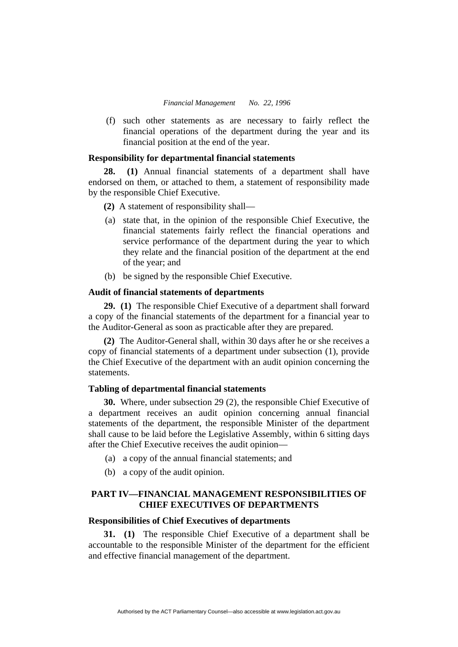(f) such other statements as are necessary to fairly reflect the financial operations of the department during the year and its financial position at the end of the year.

# **Responsibility for departmental financial statements**

**28. (1)** Annual financial statements of a department shall have endorsed on them, or attached to them, a statement of responsibility made by the responsible Chief Executive.

- **(2)** A statement of responsibility shall—
- (a) state that, in the opinion of the responsible Chief Executive, the financial statements fairly reflect the financial operations and service performance of the department during the year to which they relate and the financial position of the department at the end of the year; and
- (b) be signed by the responsible Chief Executive.

# **Audit of financial statements of departments**

**29. (1)** The responsible Chief Executive of a department shall forward a copy of the financial statements of the department for a financial year to the Auditor-General as soon as practicable after they are prepared.

**(2)** The Auditor-General shall, within 30 days after he or she receives a copy of financial statements of a department under subsection (1), provide the Chief Executive of the department with an audit opinion concerning the statements.

# **Tabling of departmental financial statements**

**30.** Where, under subsection 29 (2), the responsible Chief Executive of a department receives an audit opinion concerning annual financial statements of the department, the responsible Minister of the department shall cause to be laid before the Legislative Assembly, within 6 sitting days after the Chief Executive receives the audit opinion—

- (a) a copy of the annual financial statements; and
- (b) a copy of the audit opinion.

# **PART IV—FINANCIAL MANAGEMENT RESPONSIBILITIES OF CHIEF EXECUTIVES OF DEPARTMENTS**

# **Responsibilities of Chief Executives of departments**

**31. (1)** The responsible Chief Executive of a department shall be accountable to the responsible Minister of the department for the efficient and effective financial management of the department.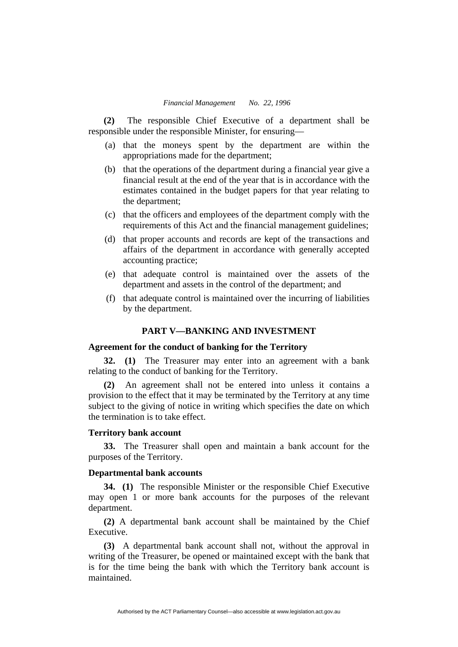**(2)** The responsible Chief Executive of a department shall be responsible under the responsible Minister, for ensuring—

- (a) that the moneys spent by the department are within the appropriations made for the department;
- (b) that the operations of the department during a financial year give a financial result at the end of the year that is in accordance with the estimates contained in the budget papers for that year relating to the department;
- (c) that the officers and employees of the department comply with the requirements of this Act and the financial management guidelines;
- (d) that proper accounts and records are kept of the transactions and affairs of the department in accordance with generally accepted accounting practice;
- (e) that adequate control is maintained over the assets of the department and assets in the control of the department; and
- (f) that adequate control is maintained over the incurring of liabilities by the department.

# **PART V—BANKING AND INVESTMENT**

#### **Agreement for the conduct of banking for the Territory**

**32. (1)** The Treasurer may enter into an agreement with a bank relating to the conduct of banking for the Territory.

**(2)** An agreement shall not be entered into unless it contains a provision to the effect that it may be terminated by the Territory at any time subject to the giving of notice in writing which specifies the date on which the termination is to take effect.

#### **Territory bank account**

**33.** The Treasurer shall open and maintain a bank account for the purposes of the Territory.

#### **Departmental bank accounts**

**34. (1)** The responsible Minister or the responsible Chief Executive may open 1 or more bank accounts for the purposes of the relevant department.

**(2)** A departmental bank account shall be maintained by the Chief Executive.

**(3)** A departmental bank account shall not, without the approval in writing of the Treasurer, be opened or maintained except with the bank that is for the time being the bank with which the Territory bank account is maintained.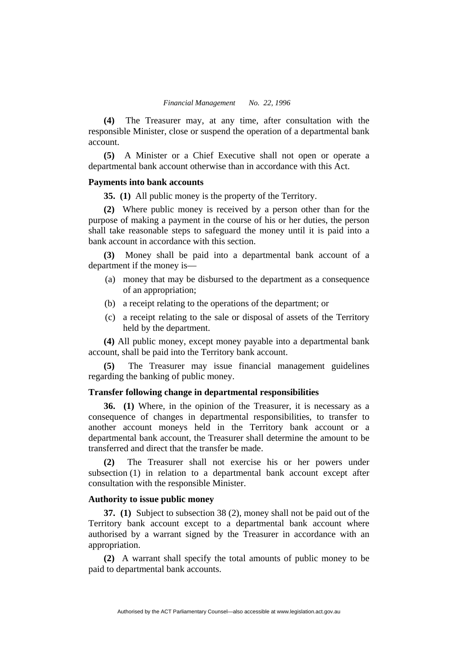**(4)** The Treasurer may, at any time, after consultation with the responsible Minister, close or suspend the operation of a departmental bank account.

**(5)** A Minister or a Chief Executive shall not open or operate a departmental bank account otherwise than in accordance with this Act.

#### **Payments into bank accounts**

**35. (1)** All public money is the property of the Territory.

**(2)** Where public money is received by a person other than for the purpose of making a payment in the course of his or her duties, the person shall take reasonable steps to safeguard the money until it is paid into a bank account in accordance with this section.

**(3)** Money shall be paid into a departmental bank account of a department if the money is—

- (a) money that may be disbursed to the department as a consequence of an appropriation;
- (b) a receipt relating to the operations of the department; or
- (c) a receipt relating to the sale or disposal of assets of the Territory held by the department.

**(4)** All public money, except money payable into a departmental bank account, shall be paid into the Territory bank account.

**(5)** The Treasurer may issue financial management guidelines regarding the banking of public money.

# **Transfer following change in departmental responsibilities**

**36. (1)** Where, in the opinion of the Treasurer, it is necessary as a consequence of changes in departmental responsibilities, to transfer to another account moneys held in the Territory bank account or a departmental bank account, the Treasurer shall determine the amount to be transferred and direct that the transfer be made.

The Treasurer shall not exercise his or her powers under subsection (1) in relation to a departmental bank account except after consultation with the responsible Minister.

# **Authority to issue public money**

**37. (1)** Subject to subsection 38 (2), money shall not be paid out of the Territory bank account except to a departmental bank account where authorised by a warrant signed by the Treasurer in accordance with an appropriation.

**(2)** A warrant shall specify the total amounts of public money to be paid to departmental bank accounts.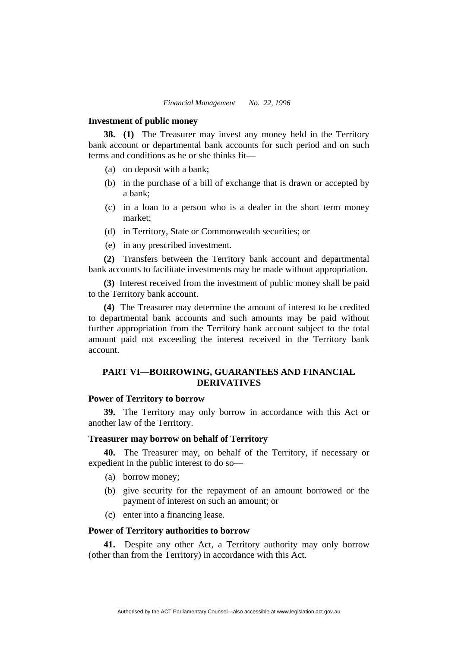#### **Investment of public money**

**38. (1)** The Treasurer may invest any money held in the Territory bank account or departmental bank accounts for such period and on such terms and conditions as he or she thinks fit—

- (a) on deposit with a bank;
- (b) in the purchase of a bill of exchange that is drawn or accepted by a bank;
- (c) in a loan to a person who is a dealer in the short term money market;
- (d) in Territory, State or Commonwealth securities; or
- (e) in any prescribed investment.

**(2)** Transfers between the Territory bank account and departmental bank accounts to facilitate investments may be made without appropriation.

**(3)** Interest received from the investment of public money shall be paid to the Territory bank account.

**(4)** The Treasurer may determine the amount of interest to be credited to departmental bank accounts and such amounts may be paid without further appropriation from the Territory bank account subject to the total amount paid not exceeding the interest received in the Territory bank account.

# **PART VI—BORROWING, GUARANTEES AND FINANCIAL DERIVATIVES**

# **Power of Territory to borrow**

**39.** The Territory may only borrow in accordance with this Act or another law of the Territory.

# **Treasurer may borrow on behalf of Territory**

**40.** The Treasurer may, on behalf of the Territory, if necessary or expedient in the public interest to do so—

- (a) borrow money;
- (b) give security for the repayment of an amount borrowed or the payment of interest on such an amount; or
- (c) enter into a financing lease.

# **Power of Territory authorities to borrow**

**41.** Despite any other Act, a Territory authority may only borrow (other than from the Territory) in accordance with this Act.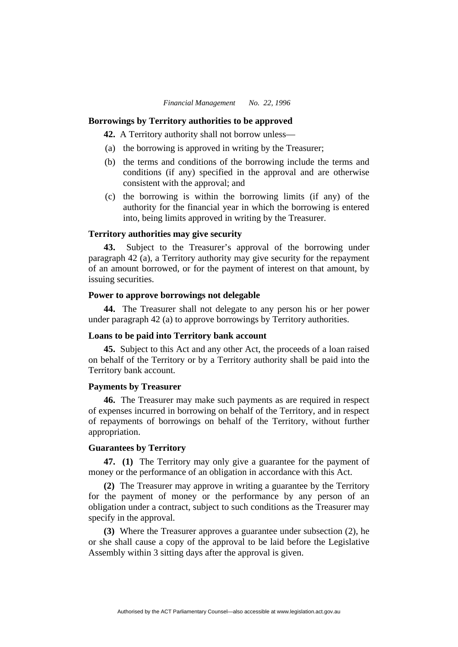#### **Borrowings by Territory authorities to be approved**

**42.** A Territory authority shall not borrow unless—

- (a) the borrowing is approved in writing by the Treasurer;
- (b) the terms and conditions of the borrowing include the terms and conditions (if any) specified in the approval and are otherwise consistent with the approval; and
- (c) the borrowing is within the borrowing limits (if any) of the authority for the financial year in which the borrowing is entered into, being limits approved in writing by the Treasurer.

# **Territory authorities may give security**

**43.** Subject to the Treasurer's approval of the borrowing under paragraph 42 (a), a Territory authority may give security for the repayment of an amount borrowed, or for the payment of interest on that amount, by issuing securities.

# **Power to approve borrowings not delegable**

**44.** The Treasurer shall not delegate to any person his or her power under paragraph 42 (a) to approve borrowings by Territory authorities.

#### **Loans to be paid into Territory bank account**

**45.** Subject to this Act and any other Act, the proceeds of a loan raised on behalf of the Territory or by a Territory authority shall be paid into the Territory bank account.

# **Payments by Treasurer**

**46.** The Treasurer may make such payments as are required in respect of expenses incurred in borrowing on behalf of the Territory, and in respect of repayments of borrowings on behalf of the Territory, without further appropriation.

#### **Guarantees by Territory**

**47. (1)** The Territory may only give a guarantee for the payment of money or the performance of an obligation in accordance with this Act.

**(2)** The Treasurer may approve in writing a guarantee by the Territory for the payment of money or the performance by any person of an obligation under a contract, subject to such conditions as the Treasurer may specify in the approval.

**(3)** Where the Treasurer approves a guarantee under subsection (2), he or she shall cause a copy of the approval to be laid before the Legislative Assembly within 3 sitting days after the approval is given.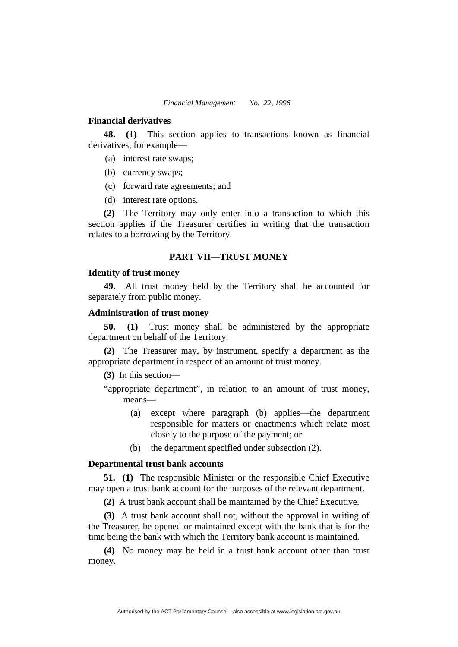#### **Financial derivatives**

**48. (1)** This section applies to transactions known as financial derivatives, for example—

- (a) interest rate swaps;
- (b) currency swaps;
- (c) forward rate agreements; and
- (d) interest rate options.

**(2)** The Territory may only enter into a transaction to which this section applies if the Treasurer certifies in writing that the transaction relates to a borrowing by the Territory.

#### **PART VII—TRUST MONEY**

## **Identity of trust money**

**49.** All trust money held by the Territory shall be accounted for separately from public money.

#### **Administration of trust money**

**50. (1)** Trust money shall be administered by the appropriate department on behalf of the Territory.

**(2)** The Treasurer may, by instrument, specify a department as the appropriate department in respect of an amount of trust money.

**(3)** In this section—

- "appropriate department", in relation to an amount of trust money, means—
	- (a) except where paragraph (b) applies—the department responsible for matters or enactments which relate most closely to the purpose of the payment; or
	- (b) the department specified under subsection (2).

# **Departmental trust bank accounts**

**51. (1)** The responsible Minister or the responsible Chief Executive may open a trust bank account for the purposes of the relevant department.

**(2)** A trust bank account shall be maintained by the Chief Executive.

**(3)** A trust bank account shall not, without the approval in writing of the Treasurer, be opened or maintained except with the bank that is for the time being the bank with which the Territory bank account is maintained.

**(4)** No money may be held in a trust bank account other than trust money.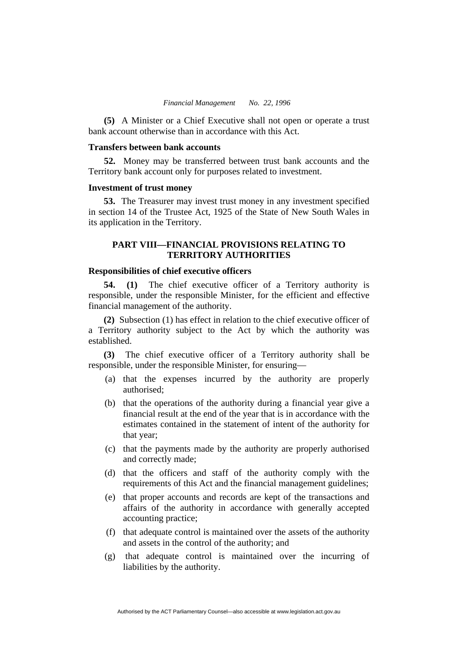**(5)** A Minister or a Chief Executive shall not open or operate a trust bank account otherwise than in accordance with this Act.

# **Transfers between bank accounts**

**52.** Money may be transferred between trust bank accounts and the Territory bank account only for purposes related to investment.

#### **Investment of trust money**

**53.** The Treasurer may invest trust money in any investment specified in section 14 of the Trustee Act, 1925 of the State of New South Wales in its application in the Territory.

# **PART VIII—FINANCIAL PROVISIONS RELATING TO TERRITORY AUTHORITIES**

# **Responsibilities of chief executive officers**

**54. (1)** The chief executive officer of a Territory authority is responsible, under the responsible Minister, for the efficient and effective financial management of the authority.

**(2)** Subsection (1) has effect in relation to the chief executive officer of a Territory authority subject to the Act by which the authority was established.

**(3)** The chief executive officer of a Territory authority shall be responsible, under the responsible Minister, for ensuring—

- (a) that the expenses incurred by the authority are properly authorised;
- (b) that the operations of the authority during a financial year give a financial result at the end of the year that is in accordance with the estimates contained in the statement of intent of the authority for that year;
- (c) that the payments made by the authority are properly authorised and correctly made;
- (d) that the officers and staff of the authority comply with the requirements of this Act and the financial management guidelines;
- (e) that proper accounts and records are kept of the transactions and affairs of the authority in accordance with generally accepted accounting practice;
- (f) that adequate control is maintained over the assets of the authority and assets in the control of the authority; and
- (g) that adequate control is maintained over the incurring of liabilities by the authority.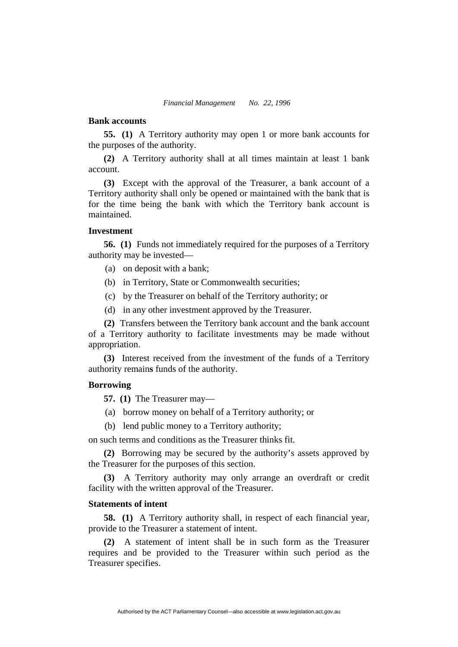# **Bank accounts**

**55. (1)** A Territory authority may open 1 or more bank accounts for the purposes of the authority.

**(2)** A Territory authority shall at all times maintain at least 1 bank account.

**(3)** Except with the approval of the Treasurer, a bank account of a Territory authority shall only be opened or maintained with the bank that is for the time being the bank with which the Territory bank account is maintained.

# **Investment**

**56. (1)** Funds not immediately required for the purposes of a Territory authority may be invested—

- (a) on deposit with a bank;
- (b) in Territory, State or Commonwealth securities;
- (c) by the Treasurer on behalf of the Territory authority; or
- (d) in any other investment approved by the Treasurer.

**(2)** Transfers between the Territory bank account and the bank account of a Territory authority to facilitate investments may be made without appropriation.

**(3)** Interest received from the investment of the funds of a Territory authority remain**s** funds of the authority.

# **Borrowing**

**57. (1)** The Treasurer may—

- (a) borrow money on behalf of a Territory authority; or
- (b) lend public money to a Territory authority;

on such terms and conditions as the Treasurer thinks fit.

**(2)** Borrowing may be secured by the authority's assets approved by the Treasurer for the purposes of this section.

**(3)** A Territory authority may only arrange an overdraft or credit facility with the written approval of the Treasurer.

# **Statements of intent**

**58. (1)** A Territory authority shall, in respect of each financial year, provide to the Treasurer a statement of intent.

**(2)** A statement of intent shall be in such form as the Treasurer requires and be provided to the Treasurer within such period as the Treasurer specifies.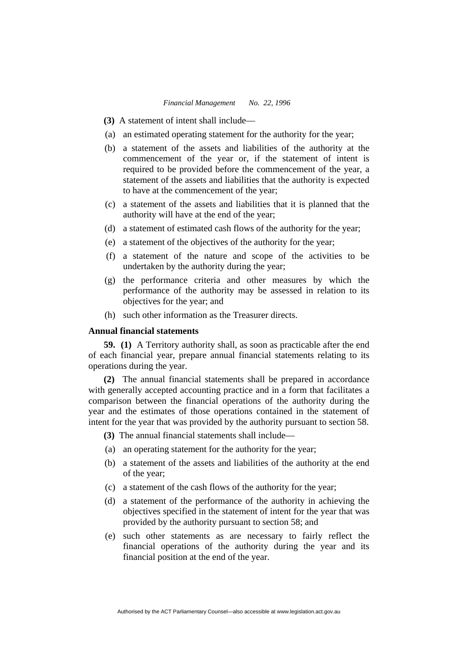- **(3)** A statement of intent shall include—
- (a) an estimated operating statement for the authority for the year;
- (b) a statement of the assets and liabilities of the authority at the commencement of the year or, if the statement of intent is required to be provided before the commencement of the year, a statement of the assets and liabilities that the authority is expected to have at the commencement of the year;
- (c) a statement of the assets and liabilities that it is planned that the authority will have at the end of the year;
- (d) a statement of estimated cash flows of the authority for the year;
- (e) a statement of the objectives of the authority for the year;
- (f) a statement of the nature and scope of the activities to be undertaken by the authority during the year;
- (g) the performance criteria and other measures by which the performance of the authority may be assessed in relation to its objectives for the year; and
- (h) such other information as the Treasurer directs.

# **Annual financial statements**

**59. (1)** A Territory authority shall, as soon as practicable after the end of each financial year, prepare annual financial statements relating to its operations during the year.

**(2)** The annual financial statements shall be prepared in accordance with generally accepted accounting practice and in a form that facilitates a comparison between the financial operations of the authority during the year and the estimates of those operations contained in the statement of intent for the year that was provided by the authority pursuant to section 58.

**(3)** The annual financial statements shall include—

- (a) an operating statement for the authority for the year;
- (b) a statement of the assets and liabilities of the authority at the end of the year;
- (c) a statement of the cash flows of the authority for the year;
- (d) a statement of the performance of the authority in achieving the objectives specified in the statement of intent for the year that was provided by the authority pursuant to section 58; and
- (e) such other statements as are necessary to fairly reflect the financial operations of the authority during the year and its financial position at the end of the year.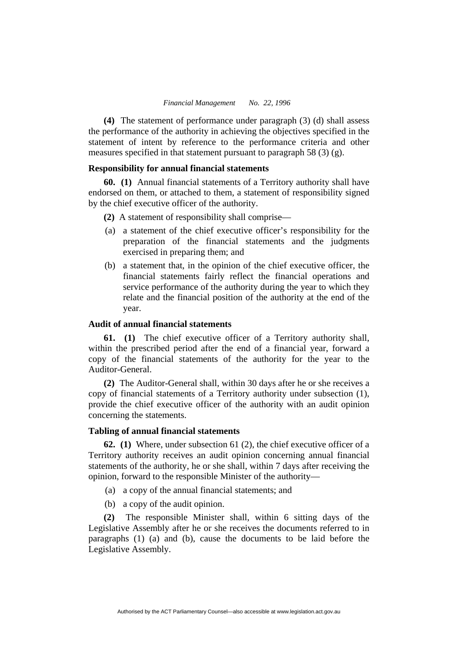**(4)** The statement of performance under paragraph (3) (d) shall assess the performance of the authority in achieving the objectives specified in the statement of intent by reference to the performance criteria and other measures specified in that statement pursuant to paragraph 58 (3)  $(g)$ .

# **Responsibility for annual financial statements**

**60. (1)** Annual financial statements of a Territory authority shall have endorsed on them, or attached to them, a statement of responsibility signed by the chief executive officer of the authority.

**(2)** A statement of responsibility shall comprise—

- (a) a statement of the chief executive officer's responsibility for the preparation of the financial statements and the judgments exercised in preparing them; and
- (b) a statement that, in the opinion of the chief executive officer, the financial statements fairly reflect the financial operations and service performance of the authority during the year to which they relate and the financial position of the authority at the end of the year.

# **Audit of annual financial statements**

**61. (1)** The chief executive officer of a Territory authority shall, within the prescribed period after the end of a financial year, forward a copy of the financial statements of the authority for the year to the Auditor-General.

**(2)** The Auditor-General shall, within 30 days after he or she receives a copy of financial statements of a Territory authority under subsection (1), provide the chief executive officer of the authority with an audit opinion concerning the statements.

#### **Tabling of annual financial statements**

**62. (1)** Where, under subsection 61 (2), the chief executive officer of a Territory authority receives an audit opinion concerning annual financial statements of the authority, he or she shall, within 7 days after receiving the opinion, forward to the responsible Minister of the authority—

- (a) a copy of the annual financial statements; and
- (b) a copy of the audit opinion.

**(2)** The responsible Minister shall, within 6 sitting days of the Legislative Assembly after he or she receives the documents referred to in paragraphs (1) (a) and (b), cause the documents to be laid before the Legislative Assembly.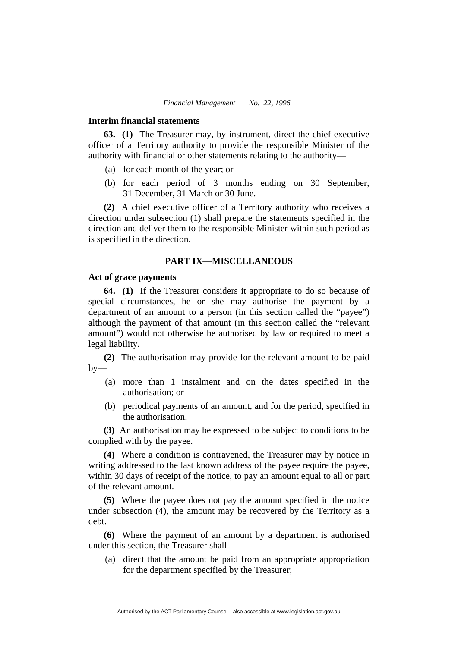#### **Interim financial statements**

**63. (1)** The Treasurer may, by instrument, direct the chief executive officer of a Territory authority to provide the responsible Minister of the authority with financial or other statements relating to the authority—

- (a) for each month of the year; or
- (b) for each period of 3 months ending on 30 September, 31 December, 31 March or 30 June.

**(2)** A chief executive officer of a Territory authority who receives a direction under subsection (1) shall prepare the statements specified in the direction and deliver them to the responsible Minister within such period as is specified in the direction.

# **PART IX—MISCELLANEOUS**

#### **Act of grace payments**

**64. (1)** If the Treasurer considers it appropriate to do so because of special circumstances, he or she may authorise the payment by a department of an amount to a person (in this section called the "payee") although the payment of that amount (in this section called the "relevant amount") would not otherwise be authorised by law or required to meet a legal liability.

**(2)** The authorisation may provide for the relevant amount to be paid  $by-$ 

- (a) more than 1 instalment and on the dates specified in the authorisation; or
- (b) periodical payments of an amount, and for the period, specified in the authorisation.

**(3)** An authorisation may be expressed to be subject to conditions to be complied with by the payee.

**(4)** Where a condition is contravened, the Treasurer may by notice in writing addressed to the last known address of the payee require the payee, within 30 days of receipt of the notice, to pay an amount equal to all or part of the relevant amount.

**(5)** Where the payee does not pay the amount specified in the notice under subsection (4), the amount may be recovered by the Territory as a debt.

**(6)** Where the payment of an amount by a department is authorised under this section, the Treasurer shall—

 (a) direct that the amount be paid from an appropriate appropriation for the department specified by the Treasurer;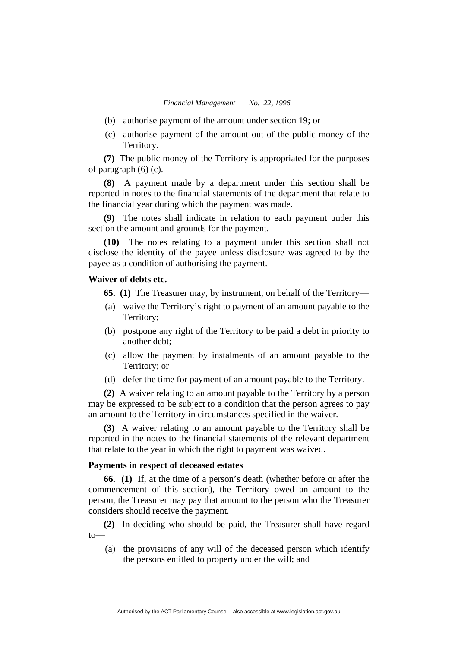- (b) authorise payment of the amount under section 19; or
- (c) authorise payment of the amount out of the public money of the Territory.

**(7)** The public money of the Territory is appropriated for the purposes of paragraph (6) (c).

**(8)** A payment made by a department under this section shall be reported in notes to the financial statements of the department that relate to the financial year during which the payment was made.

**(9)** The notes shall indicate in relation to each payment under this section the amount and grounds for the payment.

**(10)** The notes relating to a payment under this section shall not disclose the identity of the payee unless disclosure was agreed to by the payee as a condition of authorising the payment.

# **Waiver of debts etc.**

**65. (1)** The Treasurer may, by instrument, on behalf of the Territory—

- (a) waive the Territory's right to payment of an amount payable to the Territory;
- (b) postpone any right of the Territory to be paid a debt in priority to another debt;
- (c) allow the payment by instalments of an amount payable to the Territory; or
- (d) defer the time for payment of an amount payable to the Territory.

**(2)** A waiver relating to an amount payable to the Territory by a person may be expressed to be subject to a condition that the person agrees to pay an amount to the Territory in circumstances specified in the waiver.

**(3)** A waiver relating to an amount payable to the Territory shall be reported in the notes to the financial statements of the relevant department that relate to the year in which the right to payment was waived.

#### **Payments in respect of deceased estates**

**66. (1)** If, at the time of a person's death (whether before or after the commencement of this section), the Territory owed an amount to the person, the Treasurer may pay that amount to the person who the Treasurer considers should receive the payment.

**(2)** In deciding who should be paid, the Treasurer shall have regard  $to$ 

 (a) the provisions of any will of the deceased person which identify the persons entitled to property under the will; and